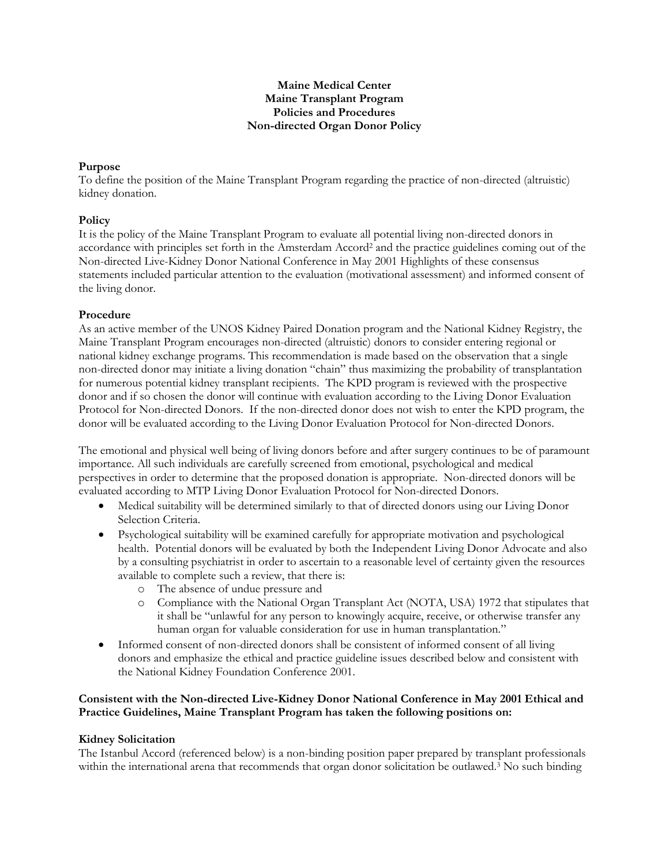# **Maine Medical Center Maine Transplant Program Policies and Procedures Non-directed Organ Donor Policy**

## **Purpose**

To define the position of the Maine Transplant Program regarding the practice of non-directed (altruistic) kidney donation.

# **Policy**

It is the policy of the Maine Transplant Program to evaluate all potential living non-directed donors in accordance with principles set forth in the Amsterdam Accord<sup>2</sup> and the practice guidelines coming out of the Non-directed Live-Kidney Donor National Conference in May 2001 Highlights of these consensus statements included particular attention to the evaluation (motivational assessment) and informed consent of the living donor.

## **Procedure**

As an active member of the UNOS Kidney Paired Donation program and the National Kidney Registry, the Maine Transplant Program encourages non-directed (altruistic) donors to consider entering regional or national kidney exchange programs. This recommendation is made based on the observation that a single non-directed donor may initiate a living donation "chain" thus maximizing the probability of transplantation for numerous potential kidney transplant recipients. The KPD program is reviewed with the prospective donor and if so chosen the donor will continue with evaluation according to the Living Donor Evaluation Protocol for Non-directed Donors. If the non-directed donor does not wish to enter the KPD program, the donor will be evaluated according to the Living Donor Evaluation Protocol for Non-directed Donors.

The emotional and physical well being of living donors before and after surgery continues to be of paramount importance. All such individuals are carefully screened from emotional, psychological and medical perspectives in order to determine that the proposed donation is appropriate. Non-directed donors will be evaluated according to MTP Living Donor Evaluation Protocol for Non-directed Donors.

- Medical suitability will be determined similarly to that of directed donors using our Living Donor Selection Criteria.
- Psychological suitability will be examined carefully for appropriate motivation and psychological health. Potential donors will be evaluated by both the Independent Living Donor Advocate and also by a consulting psychiatrist in order to ascertain to a reasonable level of certainty given the resources available to complete such a review, that there is:
	- o The absence of undue pressure and
	- o Compliance with the National Organ Transplant Act (NOTA, USA) 1972 that stipulates that it shall be "unlawful for any person to knowingly acquire, receive, or otherwise transfer any human organ for valuable consideration for use in human transplantation."
- Informed consent of non-directed donors shall be consistent of informed consent of all living donors and emphasize the ethical and practice guideline issues described below and consistent with the National Kidney Foundation Conference 2001.

# **Consistent with the Non-directed Live-Kidney Donor National Conference in May 2001 Ethical and Practice Guidelines, Maine Transplant Program has taken the following positions on:**

#### **Kidney Solicitation**

The Istanbul Accord (referenced below) is a non-binding position paper prepared by transplant professionals within the international arena that recommends that organ donor solicitation be outlawed.<sup>3</sup> No such binding